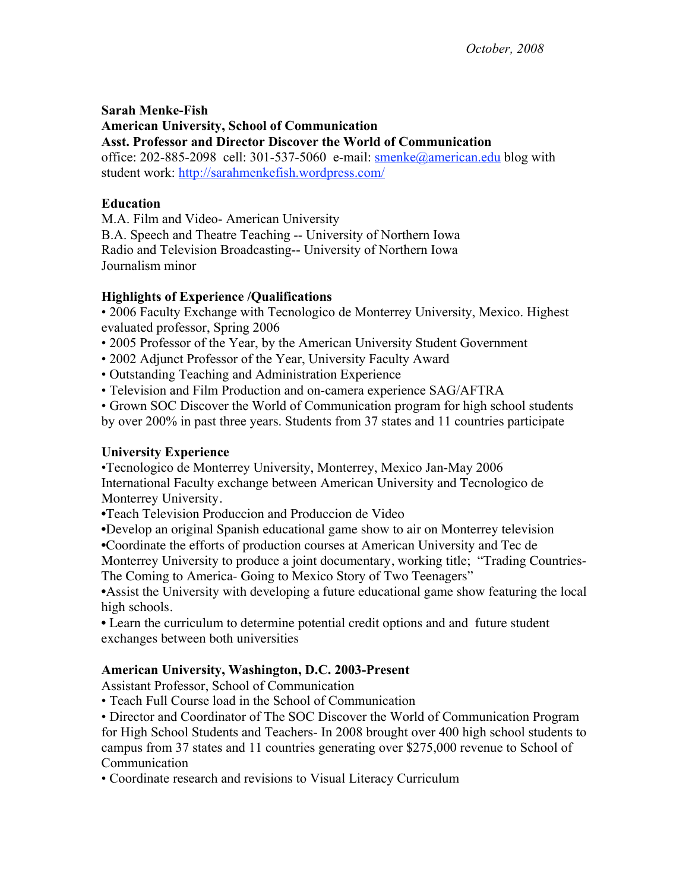**Sarah Menke-Fish American University, School of Communication Asst. Professor and Director Discover the World of Communication** office: 202-885-2098 cell: 301-537-5060 e-mail: smenke@american.edu blog with student work: http://sarahmenkefish.wordpress.com/

### **Education**

M.A. Film and Video- American University B.A. Speech and Theatre Teaching -- University of Northern Iowa Radio and Television Broadcasting-- University of Northern Iowa Journalism minor

### **Highlights of Experience /Qualifications**

• 2006 Faculty Exchange with Tecnologico de Monterrey University, Mexico. Highest evaluated professor, Spring 2006

- 2005 Professor of the Year, by the American University Student Government
- 2002 Adjunct Professor of the Year, University Faculty Award
- Outstanding Teaching and Administration Experience
- Television and Film Production and on-camera experience SAG/AFTRA

• Grown SOC Discover the World of Communication program for high school students by over 200% in past three years. Students from 37 states and 11 countries participate

### **University Experience**

•Tecnologico de Monterrey University, Monterrey, Mexico Jan-May 2006 International Faculty exchange between American University and Tecnologico de Monterrey University.

•Teach Television Produccion and Produccion de Video

•Develop an original Spanish educational game show to air on Monterrey television

•Coordinate the efforts of production courses at American University and Tec de

Monterrey University to produce a joint documentary, working title; "Trading Countries-The Coming to America- Going to Mexico Story of Two Teenagers"

•Assist the University with developing a future educational game show featuring the local high schools.

• Learn the curriculum to determine potential credit options and and future student exchanges between both universities

# **American University, Washington, D.C. 2003-Present**

Assistant Professor, School of Communication

• Teach Full Course load in the School of Communication

• Director and Coordinator of The SOC Discover the World of Communication Program for High School Students and Teachers- In 2008 brought over 400 high school students to campus from 37 states and 11 countries generating over \$275,000 revenue to School of Communication

• Coordinate research and revisions to Visual Literacy Curriculum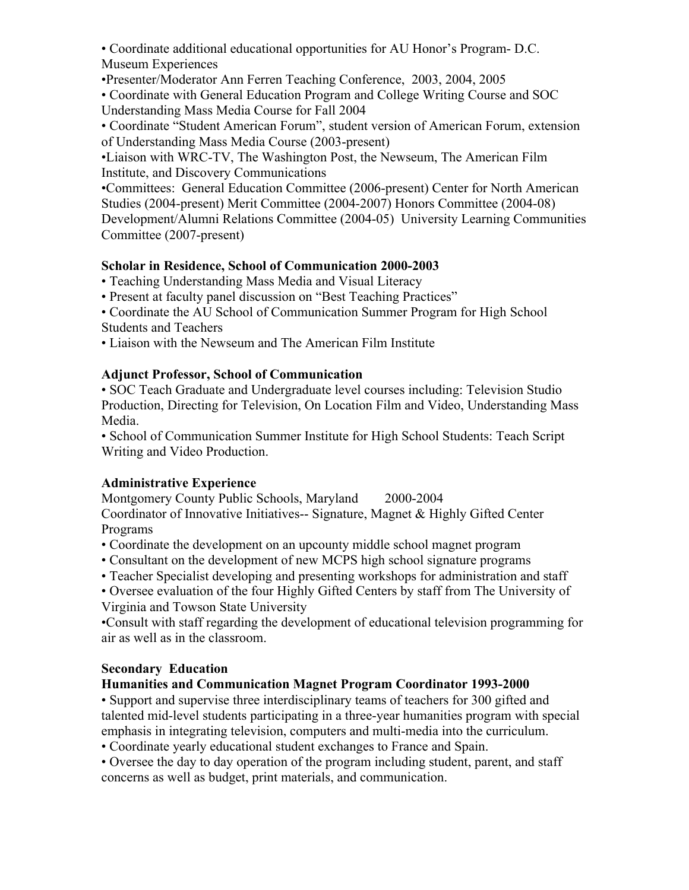• Coordinate additional educational opportunities for AU Honor's Program- D.C. Museum Experiences

•Presenter/Moderator Ann Ferren Teaching Conference, 2003, 2004, 2005

• Coordinate with General Education Program and College Writing Course and SOC Understanding Mass Media Course for Fall 2004

• Coordinate "Student American Forum", student version of American Forum, extension of Understanding Mass Media Course (2003-present)

•Liaison with WRC-TV, The Washington Post, the Newseum, The American Film Institute, and Discovery Communications

•Committees: General Education Committee (2006-present) Center for North American Studies (2004-present) Merit Committee (2004-2007) Honors Committee (2004-08) Development/Alumni Relations Committee (2004-05) University Learning Communities Committee (2007-present)

# **Scholar in Residence, School of Communication 2000-2003**

• Teaching Understanding Mass Media and Visual Literacy

• Present at faculty panel discussion on "Best Teaching Practices"

• Coordinate the AU School of Communication Summer Program for High School Students and Teachers

• Liaison with the Newseum and The American Film Institute

### **Adjunct Professor, School of Communication**

• SOC Teach Graduate and Undergraduate level courses including: Television Studio Production, Directing for Television, On Location Film and Video, Understanding Mass Media.

• School of Communication Summer Institute for High School Students: Teach Script Writing and Video Production.

# **Administrative Experience**

Montgomery County Public Schools, Maryland 2000-2004

Coordinator of Innovative Initiatives-- Signature, Magnet & Highly Gifted Center Programs

• Coordinate the development on an upcounty middle school magnet program

- Consultant on the development of new MCPS high school signature programs
- Teacher Specialist developing and presenting workshops for administration and staff

• Oversee evaluation of the four Highly Gifted Centers by staff from The University of Virginia and Towson State University

•Consult with staff regarding the development of educational television programming for air as well as in the classroom.

# **Secondary Education**

# **Humanities and Communication Magnet Program Coordinator 1993-2000**

• Support and supervise three interdisciplinary teams of teachers for 300 gifted and talented mid-level students participating in a three-year humanities program with special emphasis in integrating television, computers and multi-media into the curriculum.

• Coordinate yearly educational student exchanges to France and Spain.

• Oversee the day to day operation of the program including student, parent, and staff concerns as well as budget, print materials, and communication.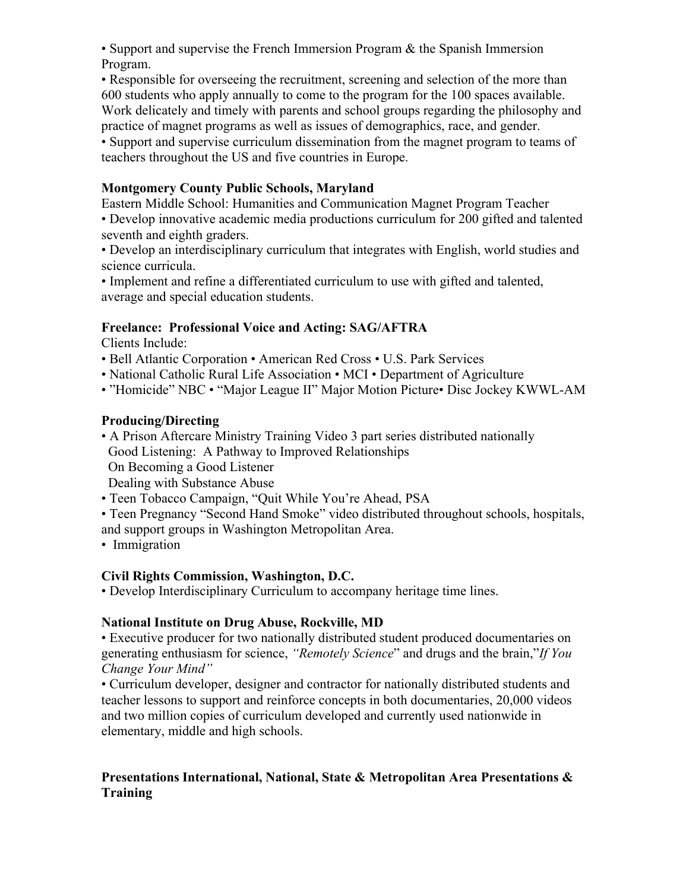• Support and supervise the French Immersion Program & the Spanish Immersion Program.

• Responsible for overseeing the recruitment, screening and selection of the more than 600 students who apply annually to come to the program for the 100 spaces available. Work delicately and timely with parents and school groups regarding the philosophy and practice of magnet programs as well as issues of demographics, race, and gender.

• Support and supervise curriculum dissemination from the magnet program to teams of teachers throughout the US and five countries in Europe.

### **Montgomery County Public Schools, Maryland**

Eastern Middle School: Humanities and Communication Magnet Program Teacher • Develop innovative academic media productions curriculum for 200 gifted and talented seventh and eighth graders.

• Develop an interdisciplinary curriculum that integrates with English, world studies and science curricula.

• Implement and refine a differentiated curriculum to use with gifted and talented, average and special education students.

### **Freelance: Professional Voice and Acting: SAG/AFTRA**

Clients Include:

- Bell Atlantic Corporation American Red Cross U.S. Park Services
- National Catholic Rural Life Association MCI Department of Agriculture
- "Homicide" NBC "Major League II" Major Motion Picture• Disc Jockey KWWL-AM

### **Producing/Directing**

- A Prison Aftercare Ministry Training Video 3 part series distributed nationally Good Listening: A Pathway to Improved Relationships On Becoming a Good Listener Dealing with Substance Abuse
- Teen Tobacco Campaign, "Quit While You're Ahead, PSA
- Teen Pregnancy "Second Hand Smoke" video distributed throughout schools, hospitals, and support groups in Washington Metropolitan Area.
- Immigration

### **Civil Rights Commission, Washington, D.C.**

• Develop Interdisciplinary Curriculum to accompany heritage time lines.

### **National Institute on Drug Abuse, Rockville, MD**

• Executive producer for two nationally distributed student produced documentaries on generating enthusiasm for science, *"Remotely Science*" and drugs and the brain,"*If You Change Your Mind"* 

• Curriculum developer, designer and contractor for nationally distributed students and teacher lessons to support and reinforce concepts in both documentaries, 20,000 videos and two million copies of curriculum developed and currently used nationwide in elementary, middle and high schools.

### **Presentations International, National, State & Metropolitan Area Presentations & Training**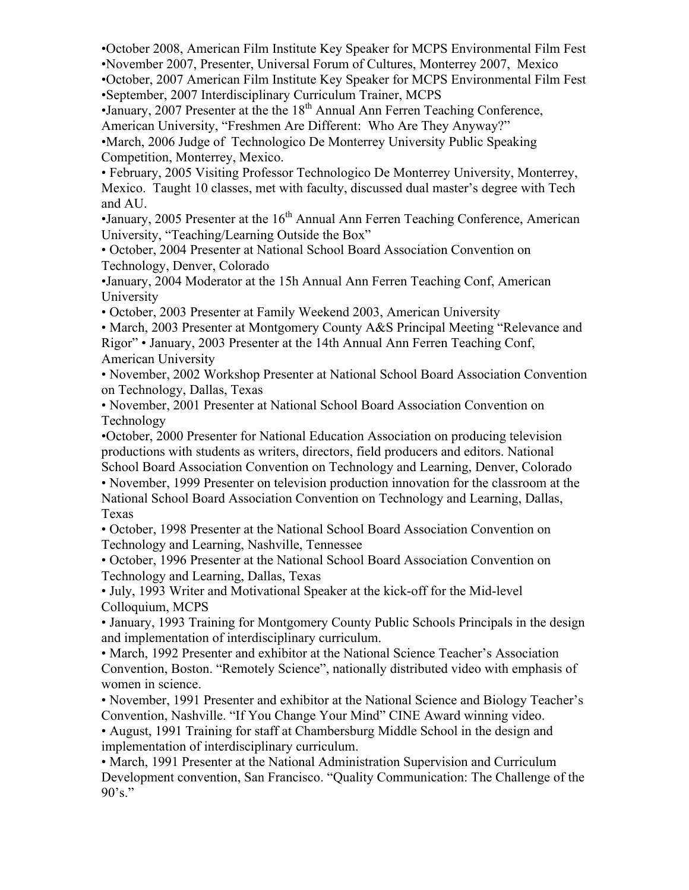•October 2008, American Film Institute Key Speaker for MCPS Environmental Film Fest

•November 2007, Presenter, Universal Forum of Cultures, Monterrey 2007, Mexico

•October, 2007 American Film Institute Key Speaker for MCPS Environmental Film Fest •September, 2007 Interdisciplinary Curriculum Trainer, MCPS

 $\bullet$ January, 2007 Presenter at the the  $18<sup>th</sup>$  Annual Ann Ferren Teaching Conference, American University, "Freshmen Are Different: Who Are They Anyway?"

•March, 2006 Judge of Technologico De Monterrey University Public Speaking Competition, Monterrey, Mexico.

• February, 2005 Visiting Professor Technologico De Monterrey University, Monterrey, Mexico. Taught 10 classes, met with faculty, discussed dual master's degree with Tech and AU.

•January, 2005 Presenter at the  $16<sup>th</sup>$  Annual Ann Ferren Teaching Conference, American University, "Teaching/Learning Outside the Box"

• October, 2004 Presenter at National School Board Association Convention on Technology, Denver, Colorado

•January, 2004 Moderator at the 15h Annual Ann Ferren Teaching Conf, American University

• October, 2003 Presenter at Family Weekend 2003, American University

• March, 2003 Presenter at Montgomery County A&S Principal Meeting "Relevance and Rigor" • January, 2003 Presenter at the 14th Annual Ann Ferren Teaching Conf, American University

• November, 2002 Workshop Presenter at National School Board Association Convention on Technology, Dallas, Texas

• November, 2001 Presenter at National School Board Association Convention on Technology

•October, 2000 Presenter for National Education Association on producing television productions with students as writers, directors, field producers and editors. National School Board Association Convention on Technology and Learning, Denver, Colorado

• November, 1999 Presenter on television production innovation for the classroom at the National School Board Association Convention on Technology and Learning, Dallas, Texas

• October, 1998 Presenter at the National School Board Association Convention on Technology and Learning, Nashville, Tennessee

• October, 1996 Presenter at the National School Board Association Convention on Technology and Learning, Dallas, Texas

• July, 1993 Writer and Motivational Speaker at the kick-off for the Mid-level Colloquium, MCPS

• January, 1993 Training for Montgomery County Public Schools Principals in the design and implementation of interdisciplinary curriculum.

• March, 1992 Presenter and exhibitor at the National Science Teacher's Association Convention, Boston. "Remotely Science", nationally distributed video with emphasis of women in science.

• November, 1991 Presenter and exhibitor at the National Science and Biology Teacher's Convention, Nashville. "If You Change Your Mind" CINE Award winning video.

• August, 1991 Training for staff at Chambersburg Middle School in the design and implementation of interdisciplinary curriculum.

• March, 1991 Presenter at the National Administration Supervision and Curriculum Development convention, San Francisco. "Quality Communication: The Challenge of the  $90^\circ$ s."